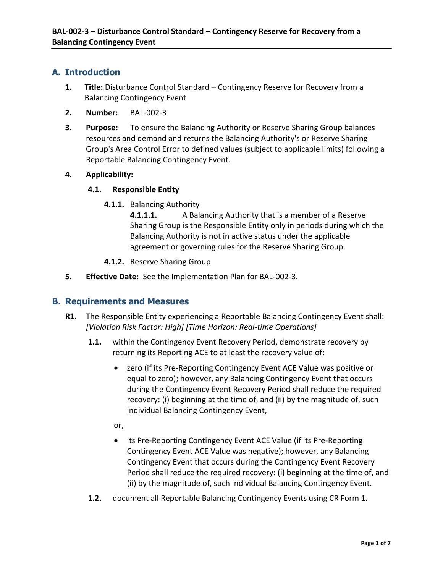# **A. Introduction**

- **1. Title:** Disturbance Control Standard Contingency Reserve for Recovery from a Balancing Contingency Event
- **2. Number:** BAL-002-3
- **3. Purpose:** To ensure the Balancing Authority or Reserve Sharing Group balances resources and demand and returns the Balancing Authority's or Reserve Sharing Group's Area Control Error to defined values (subject to applicable limits) following a Reportable Balancing Contingency Event.

#### **4. Applicability:**

#### **4.1. Responsible Entity**

**4.1.1.** Balancing Authority

**4.1.1.1.** A Balancing Authority that is a member of a Reserve Sharing Group is the Responsible Entity only in periods during which the Balancing Authority is not in active status under the applicable agreement or governing rules for the Reserve Sharing Group.

- **4.1.2.** Reserve Sharing Group
- **5. Effective Date:** See the Implementation Plan for BAL-002-3.

#### **B. Requirements and Measures**

- **R1.** The Responsible Entity experiencing a Reportable Balancing Contingency Event shall: *[Violation Risk Factor: High] [Time Horizon: Real-time Operations]*
	- **1.1.** within the Contingency Event Recovery Period, demonstrate recovery by returning its Reporting ACE to at least the recovery value of:
		- zero (if its Pre-Reporting Contingency Event ACE Value was positive or equal to zero); however, any Balancing Contingency Event that occurs during the Contingency Event Recovery Period shall reduce the required recovery: (i) beginning at the time of, and (ii) by the magnitude of, such individual Balancing Contingency Event,
		- or,
		- its Pre-Reporting Contingency Event ACE Value (if its Pre-Reporting Contingency Event ACE Value was negative); however, any Balancing Contingency Event that occurs during the Contingency Event Recovery Period shall reduce the required recovery: (i) beginning at the time of, and (ii) by the magnitude of, such individual Balancing Contingency Event.
	- **1.2.** document all Reportable Balancing Contingency Events using CR Form 1.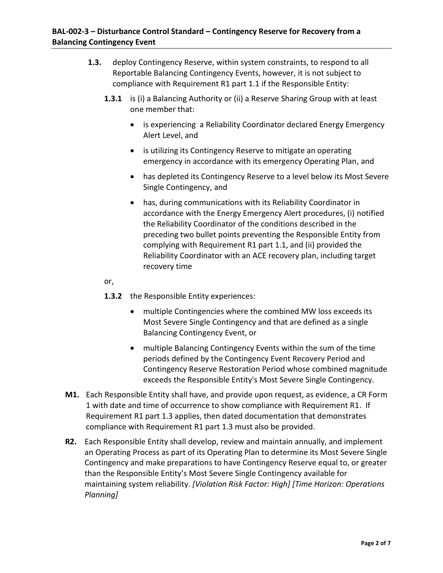- **1.3.** deploy Contingency Reserve, within system constraints, to respond to all Reportable Balancing Contingency Events, however, it is not subject to compliance with Requirement R1 part 1.1 if the Responsible Entity:
	- **1.3.1** is (i) a Balancing Authority or (ii) a Reserve Sharing Group with at least one member that:
		- is experiencing a Reliability Coordinator declared Energy Emergency Alert Level, and
		- is utilizing its Contingency Reserve to mitigate an operating emergency in accordance with its emergency Operating Plan, and
		- has depleted its Contingency Reserve to a level below its Most Severe Single Contingency, and
		- has, during communications with its Reliability Coordinator in accordance with the Energy Emergency Alert procedures, (i) notified the Reliability Coordinator of the conditions described in the preceding two bullet points preventing the Responsible Entity from complying with Requirement R1 part 1.1, and (ii) provided the Reliability Coordinator with an ACE recovery plan, including target recovery time

or,

- **1.3.2** the Responsible Entity experiences:
	- multiple Contingencies where the combined MW loss exceeds its Most Severe Single Contingency and that are defined as a single Balancing Contingency Event, or
	- multiple Balancing Contingency Events within the sum of the time periods defined by the Contingency Event Recovery Period and Contingency Reserve Restoration Period whose combined magnitude exceeds the Responsible Entity's Most Severe Single Contingency.
- **M1.** Each Responsible Entity shall have, and provide upon request, as evidence, a CR Form 1 with date and time of occurrence to show compliance with Requirement R1. If Requirement R1 part 1.3 applies, then dated documentation that demonstrates compliance with Requirement R1 part 1.3 must also be provided.
- **R2.** Each Responsible Entity shall develop, review and maintain annually, and implement an Operating Process as part of its Operating Plan to determine its Most Severe Single Contingency and make preparations to have Contingency Reserve equal to, or greater than the Responsible Entity's Most Severe Single Contingency available for maintaining system reliability. *[Violation Risk Factor: High] [Time Horizon: Operations Planning]*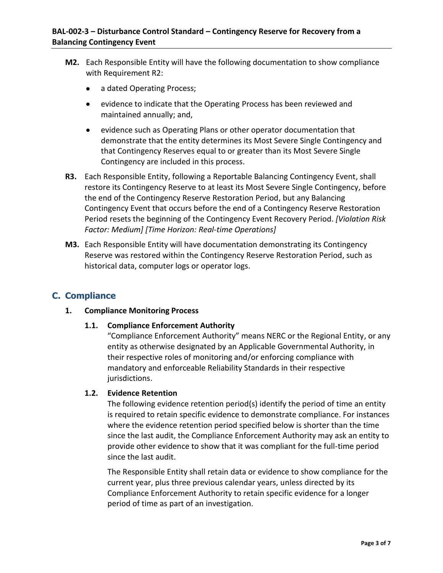- **M2.** Each Responsible Entity will have the following documentation to show compliance with Requirement R2:
	- a dated Operating Process;
	- evidence to indicate that the Operating Process has been reviewed and maintained annually; and,
	- evidence such as Operating Plans or other operator documentation that demonstrate that the entity determines its Most Severe Single Contingency and that Contingency Reserves equal to or greater than its Most Severe Single Contingency are included in this process.
- **R3.** Each Responsible Entity, following a Reportable Balancing Contingency Event, shall restore its Contingency Reserve to at least its Most Severe Single Contingency, before the end of the Contingency Reserve Restoration Period, but any Balancing Contingency Event that occurs before the end of a Contingency Reserve Restoration Period resets the beginning of the Contingency Event Recovery Period. *[Violation Risk Factor: Medium] [Time Horizon: Real-time Operations]*
- **M3.** Each Responsible Entity will have documentation demonstrating its Contingency Reserve was restored within the Contingency Reserve Restoration Period, such as historical data, computer logs or operator logs.

## **C. Compliance**

#### **1. Compliance Monitoring Process**

#### **1.1. Compliance Enforcement Authority**

"Compliance Enforcement Authority" means NERC or the Regional Entity, or any entity as otherwise designated by an Applicable Governmental Authority, in their respective roles of monitoring and/or enforcing compliance with mandatory and enforceable Reliability Standards in their respective jurisdictions.

#### **1.2. Evidence Retention**

The following evidence retention period(s) identify the period of time an entity is required to retain specific evidence to demonstrate compliance. For instances where the evidence retention period specified below is shorter than the time since the last audit, the Compliance Enforcement Authority may ask an entity to provide other evidence to show that it was compliant for the full-time period since the last audit.

The Responsible Entity shall retain data or evidence to show compliance for the current year, plus three previous calendar years, unless directed by its Compliance Enforcement Authority to retain specific evidence for a longer period of time as part of an investigation.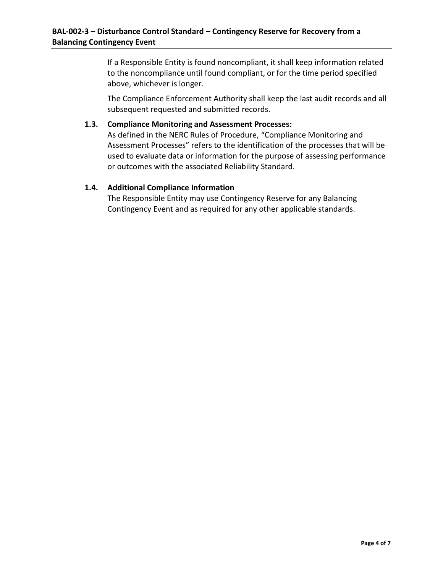If a Responsible Entity is found noncompliant, it shall keep information related to the noncompliance until found compliant, or for the time period specified above, whichever is longer.

The Compliance Enforcement Authority shall keep the last audit records and all subsequent requested and submitted records.

#### **1.3. Compliance Monitoring and Assessment Processes:**

As defined in the NERC Rules of Procedure, "Compliance Monitoring and Assessment Processes" refers to the identification of the processes that will be used to evaluate data or information for the purpose of assessing performance or outcomes with the associated Reliability Standard.

#### **1.4. Additional Compliance Information**

The Responsible Entity may use Contingency Reserve for any Balancing Contingency Event and as required for any other applicable standards.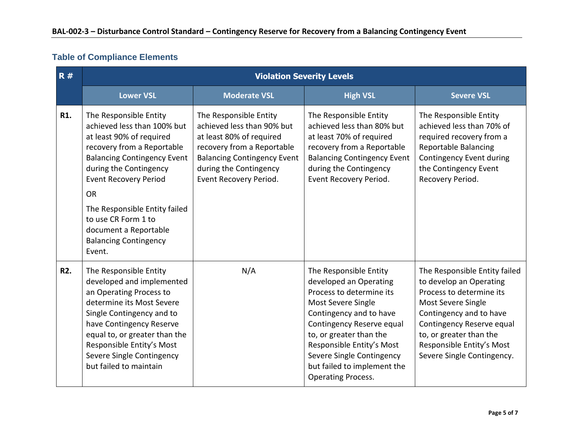# **Table of Compliance Elements**

| R#         |                                                                                                                                                                                                                                                                                           | <b>Violation Severity Levels</b>                                                                                                                                                                         |                                                                                                                                                                                                                                                                                                             |                                                                                                                                                                                                                                                          |  |  |
|------------|-------------------------------------------------------------------------------------------------------------------------------------------------------------------------------------------------------------------------------------------------------------------------------------------|----------------------------------------------------------------------------------------------------------------------------------------------------------------------------------------------------------|-------------------------------------------------------------------------------------------------------------------------------------------------------------------------------------------------------------------------------------------------------------------------------------------------------------|----------------------------------------------------------------------------------------------------------------------------------------------------------------------------------------------------------------------------------------------------------|--|--|
|            | <b>Lower VSL</b>                                                                                                                                                                                                                                                                          | <b>Moderate VSL</b>                                                                                                                                                                                      | <b>High VSL</b>                                                                                                                                                                                                                                                                                             | <b>Severe VSL</b>                                                                                                                                                                                                                                        |  |  |
| R1.        | The Responsible Entity<br>achieved less than 100% but<br>at least 90% of required<br>recovery from a Reportable<br><b>Balancing Contingency Event</b><br>during the Contingency<br><b>Event Recovery Period</b>                                                                           | The Responsible Entity<br>achieved less than 90% but<br>at least 80% of required<br>recovery from a Reportable<br><b>Balancing Contingency Event</b><br>during the Contingency<br>Event Recovery Period. | The Responsible Entity<br>achieved less than 80% but<br>at least 70% of required<br>recovery from a Reportable<br><b>Balancing Contingency Event</b><br>during the Contingency<br>Event Recovery Period.                                                                                                    | The Responsible Entity<br>achieved less than 70% of<br>required recovery from a<br><b>Reportable Balancing</b><br>Contingency Event during<br>the Contingency Event<br>Recovery Period.                                                                  |  |  |
|            | <b>OR</b><br>The Responsible Entity failed<br>to use CR Form 1 to<br>document a Reportable<br><b>Balancing Contingency</b><br>Event.                                                                                                                                                      |                                                                                                                                                                                                          |                                                                                                                                                                                                                                                                                                             |                                                                                                                                                                                                                                                          |  |  |
| <b>R2.</b> | The Responsible Entity<br>developed and implemented<br>an Operating Process to<br>determine its Most Severe<br>Single Contingency and to<br>have Contingency Reserve<br>equal to, or greater than the<br>Responsible Entity's Most<br>Severe Single Contingency<br>but failed to maintain | N/A                                                                                                                                                                                                      | The Responsible Entity<br>developed an Operating<br>Process to determine its<br>Most Severe Single<br>Contingency and to have<br>Contingency Reserve equal<br>to, or greater than the<br>Responsible Entity's Most<br>Severe Single Contingency<br>but failed to implement the<br><b>Operating Process.</b> | The Responsible Entity failed<br>to develop an Operating<br>Process to determine its<br>Most Severe Single<br>Contingency and to have<br>Contingency Reserve equal<br>to, or greater than the<br>Responsible Entity's Most<br>Severe Single Contingency. |  |  |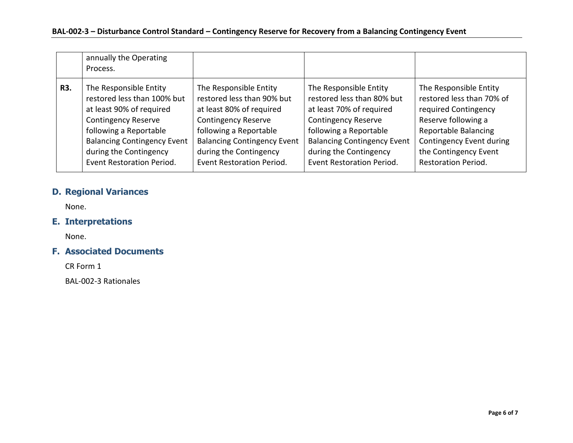|     | annually the Operating<br>Process. |                                    |                                    |                            |
|-----|------------------------------------|------------------------------------|------------------------------------|----------------------------|
| R3. | The Responsible Entity             | The Responsible Entity             | The Responsible Entity             | The Responsible Entity     |
|     | restored less than 100% but        | restored less than 90% but         | restored less than 80% but         | restored less than 70% of  |
|     | at least 90% of required           | at least 80% of required           | at least 70% of required           | required Contingency       |
|     | <b>Contingency Reserve</b>         | <b>Contingency Reserve</b>         | <b>Contingency Reserve</b>         | Reserve following a        |
|     | following a Reportable             | following a Reportable             | following a Reportable             | Reportable Balancing       |
|     | <b>Balancing Contingency Event</b> | <b>Balancing Contingency Event</b> | <b>Balancing Contingency Event</b> | Contingency Event during   |
|     | during the Contingency             | during the Contingency             | during the Contingency             | the Contingency Event      |
|     | Event Restoration Period.          | Event Restoration Period.          | Event Restoration Period.          | <b>Restoration Period.</b> |

# **D. Regional Variances**

None.

# **E. Interpretations**

None.

## **F. Associated Documents**

CR Form 1

BAL-002-3 Rationales